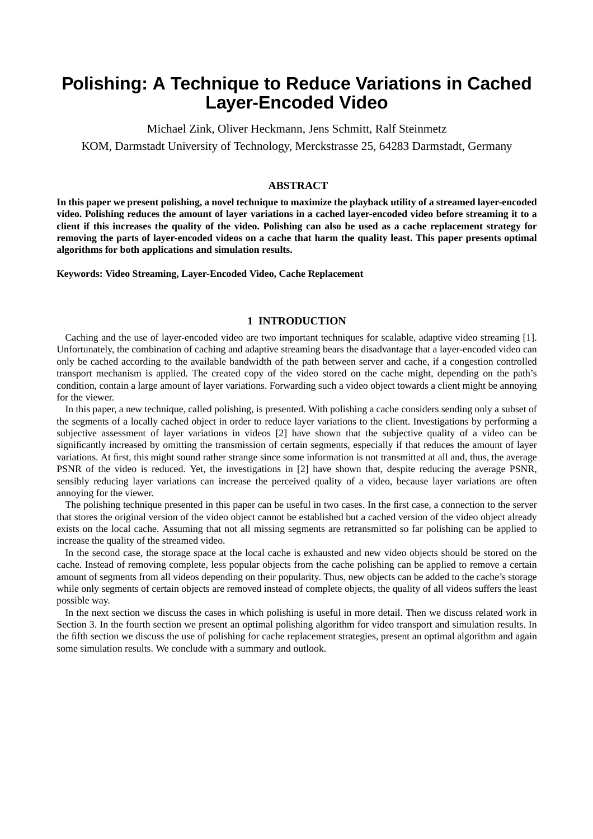# **Polishing: A Technique to Reduce Variations in Cached Layer-Encoded Video**

Michael Zink, Oliver Heckmann, Jens Schmitt, Ralf Steinmetz

KOM, Darmstadt University of Technology, Merckstrasse 25, 64283 Darmstadt, Germany

# **ABSTRACT**

**In this paper we present polishing, a novel technique to maximize the playback utility of a streamed layer-encoded video. Polishing reduces the amount of layer variations in a cached layer-encoded video before streaming it to a client if this increases the quality of the video. Polishing can also be used as a cache replacement strategy for removing the parts of layer-encoded videos on a cache that harm the quality least. This paper presents optimal algorithms for both applications and simulation results.**

**Keywords: Video Streaming, Layer-Encoded Video, Cache Replacement**

# **1 INTRODUCTION**

Caching and the use of layer-encoded video are two important techniques for scalable, adaptive video streaming [1]. Unfortunately, the combination of caching and adaptive streaming bears the disadvantage that a layer-encoded video can only be cached according to the available bandwidth of the path between server and cache, if a congestion controlled transport mechanism is applied. The created copy of the video stored on the cache might, depending on the path's condition, contain a large amount of layer variations. Forwarding such a video object towards a client might be annoying for the viewer.

In this paper, a new technique, called polishing, is presented. With polishing a cache considers sending only a subset of the segments of a locally cached object in order to reduce layer variations to the client. Investigations by performing a subjective assessment of layer variations in videos [2] have shown that the subjective quality of a video can be significantly increased by omitting the transmission of certain segments, especially if that reduces the amount of layer variations. At first, this might sound rather strange since some information is not transmitted at all and, thus, the average PSNR of the video is reduced. Yet, the investigations in [2] have shown that, despite reducing the average PSNR, sensibly reducing layer variations can increase the perceived quality of a video, because layer variations are often annoying for the viewer.

The polishing technique presented in this paper can be useful in two cases. In the first case, a connection to the server that stores the original version of the video object cannot be established but a cached version of the video object already exists on the local cache. Assuming that not all missing segments are retransmitted so far polishing can be applied to increase the quality of the streamed video.

In the second case, the storage space at the local cache is exhausted and new video objects should be stored on the cache. Instead of removing complete, less popular objects from the cache polishing can be applied to remove a certain amount of segments from all videos depending on their popularity. Thus, new objects can be added to the cache's storage while only segments of certain objects are removed instead of complete objects, the quality of all videos suffers the least possible way.

In the next section we discuss the cases in which polishing is useful in more detail. Then we discuss related work in Section 3. In the fourth section we present an optimal polishing algorithm for video transport and simulation results. In the fifth section we discuss the use of polishing for cache replacement strategies, present an optimal algorithm and again some simulation results. We conclude with a summary and outlook.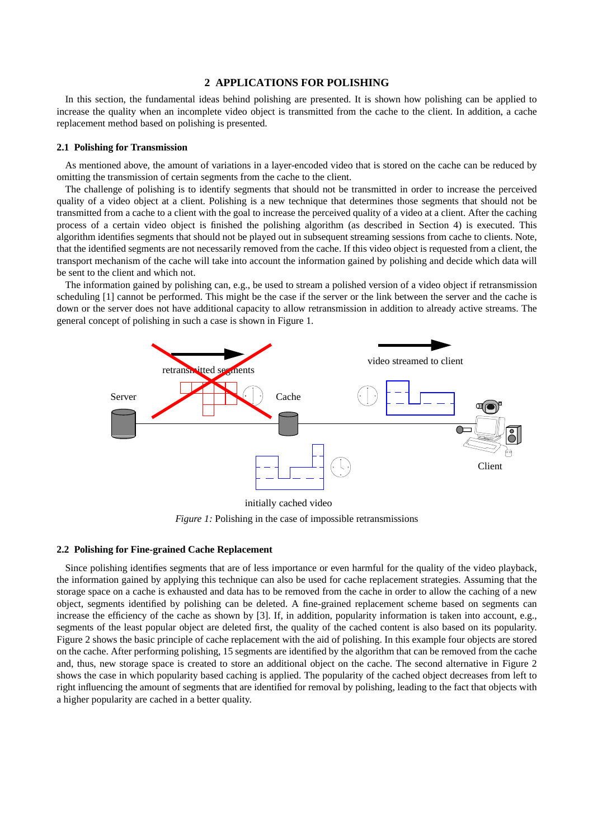# **2 APPLICATIONS FOR POLISHING**

In this section, the fundamental ideas behind polishing are presented. It is shown how polishing can be applied to increase the quality when an incomplete video object is transmitted from the cache to the client. In addition, a cache replacement method based on polishing is presented.

#### **2.1 Polishing for Transmission**

As mentioned above, the amount of variations in a layer-encoded video that is stored on the cache can be reduced by omitting the transmission of certain segments from the cache to the client.

The challenge of polishing is to identify segments that should not be transmitted in order to increase the perceived quality of a video object at a client. Polishing is a new technique that determines those segments that should not be transmitted from a cache to a client with the goal to increase the perceived quality of a video at a client. After the caching process of a certain video object is finished the polishing algorithm (as described in Section 4) is executed. This algorithm identifies segments that should not be played out in subsequent streaming sessions from cache to clients. Note, that the identified segments are not necessarily removed from the cache. If this video object is requested from a client, the transport mechanism of the cache will take into account the information gained by polishing and decide which data will be sent to the client and which not.

The information gained by polishing can, e.g., be used to stream a polished version of a video object if retransmission scheduling [1] cannot be performed. This might be the case if the server or the link between the server and the cache is down or the server does not have additional capacity to allow retransmission in addition to already active streams. The general concept of polishing in such a case is shown in Figure 1.



*Figure 1:* Polishing in the case of impossible retransmissions

# **2.2 Polishing for Fine-grained Cache Replacement**

Since polishing identifies segments that are of less importance or even harmful for the quality of the video playback, the information gained by applying this technique can also be used for cache replacement strategies. Assuming that the storage space on a cache is exhausted and data has to be removed from the cache in order to allow the caching of a new object, segments identified by polishing can be deleted. A fine-grained replacement scheme based on segments can increase the efficiency of the cache as shown by [3]. If, in addition, popularity information is taken into account, e.g., segments of the least popular object are deleted first, the quality of the cached content is also based on its popularity. Figure 2 shows the basic principle of cache replacement with the aid of polishing. In this example four objects are stored on the cache. After performing polishing, 15 segments are identified by the algorithm that can be removed from the cache and, thus, new storage space is created to store an additional object on the cache. The second alternative in Figure 2 shows the case in which popularity based caching is applied. The popularity of the cached object decreases from left to right influencing the amount of segments that are identified for removal by polishing, leading to the fact that objects with a higher popularity are cached in a better quality.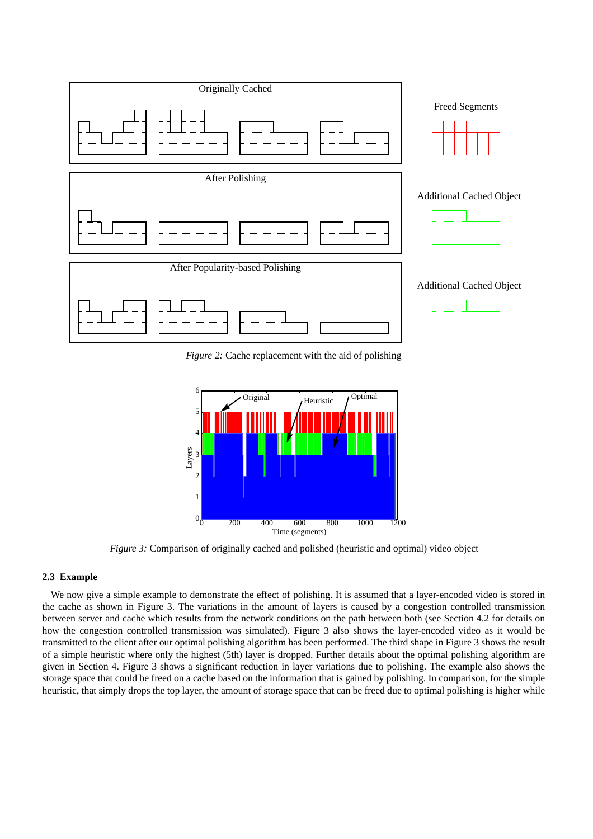

*Figure 2:* Cache replacement with the aid of polishing



*Figure 3:* Comparison of originally cached and polished (heuristic and optimal) video object

# **2.3 Example**

We now give a simple example to demonstrate the effect of polishing. It is assumed that a layer-encoded video is stored in the cache as shown in Figure 3. The variations in the amount of layers is caused by a congestion controlled transmission between server and cache which results from the network conditions on the path between both (see Section 4.2 for details on how the congestion controlled transmission was simulated). Figure 3 also shows the layer-encoded video as it would be transmitted to the client after our optimal polishing algorithm has been performed. The third shape in Figure 3 shows the result of a simple heuristic where only the highest (5th) layer is dropped. Further details about the optimal polishing algorithm are given in Section 4. Figure 3 shows a significant reduction in layer variations due to polishing. The example also shows the storage space that could be freed on a cache based on the information that is gained by polishing. In comparison, for the simple heuristic, that simply drops the top layer, the amount of storage space that can be freed due to optimal polishing is higher while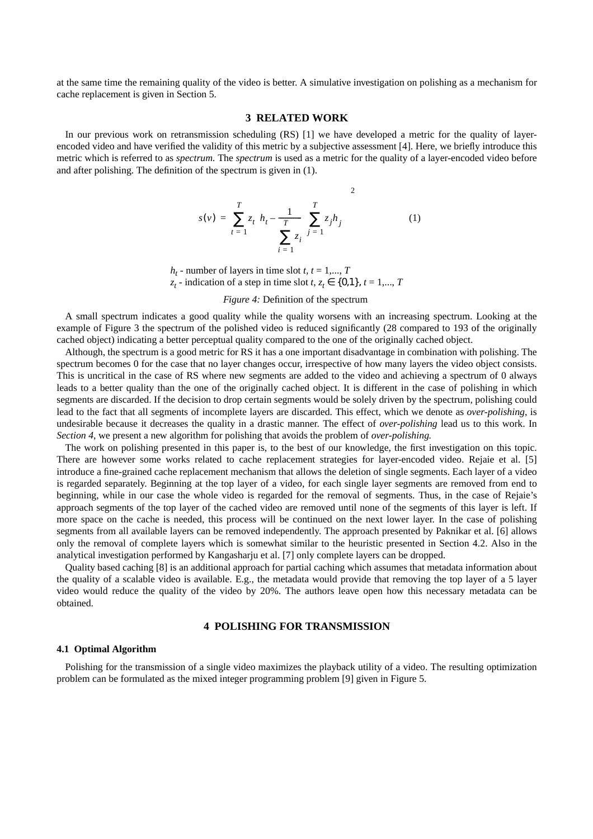at the same time the remaining quality of the video is better. A simulative investigation on polishing as a mechanism for cache replacement is given in Section 5.

## **3 RELATED WORK**

In our previous work on retransmission scheduling (RS) [1] we have developed a metric for the quality of layerencoded video and have verified the validity of this metric by a subjective assessment [4]. Here, we briefly introduce this metric which is referred to as *spectrum.* The *spectrum* is used as a metric for the quality of a layer-encoded video before and after polishing. The definition of the spectrum is given in (1).

$$
s(v) = \sum_{t=1}^{T} z_t \left( h_t - \frac{1}{T} \left( \sum_{j=1}^{T} z_j h_j \right) \right)^2
$$
(1)

 $h_t$  - number of layers in time slot *t*,  $t = 1,..., T$ *z<sub>t</sub>* - indication of a step in time slot *t*,  $z_t \in \{0,1\}$ ,  $t = 1,..., T$ 

## *Figure 4:* Definition of the spectrum

A small spectrum indicates a good quality while the quality worsens with an increasing spectrum. Looking at the example of Figure 3 the spectrum of the polished video is reduced significantly (28 compared to 193 of the originally cached object) indicating a better perceptual quality compared to the one of the originally cached object.

Although, the spectrum is a good metric for RS it has a one important disadvantage in combination with polishing. The spectrum becomes 0 for the case that no layer changes occur, irrespective of how many layers the video object consists. This is uncritical in the case of RS where new segments are added to the video and achieving a spectrum of 0 always leads to a better quality than the one of the originally cached object. It is different in the case of polishing in which segments are discarded. If the decision to drop certain segments would be solely driven by the spectrum, polishing could lead to the fact that all segments of incomplete layers are discarded. This effect, which we denote as *over-polishing*, is undesirable because it decreases the quality in a drastic manner. The effect of *over-polishing* lead us to this work. In *Section 4*, we present a new algorithm for polishing that avoids the problem of *over-polishing.*

The work on polishing presented in this paper is, to the best of our knowledge, the first investigation on this topic. There are however some works related to cache replacement strategies for layer-encoded video. Rejaie et al. [5] introduce a fine-grained cache replacement mechanism that allows the deletion of single segments. Each layer of a video is regarded separately. Beginning at the top layer of a video, for each single layer segments are removed from end to beginning, while in our case the whole video is regarded for the removal of segments. Thus, in the case of Rejaie's approach segments of the top layer of the cached video are removed until none of the segments of this layer is left. If more space on the cache is needed, this process will be continued on the next lower layer. In the case of polishing segments from all available layers can be removed independently. The approach presented by Paknikar et al. [6] allows only the removal of complete layers which is somewhat similar to the heuristic presented in Section 4.2. Also in the analytical investigation performed by Kangasharju et al. [7] only complete layers can be dropped.

Quality based caching [8] is an additional approach for partial caching which assumes that metadata information about the quality of a scalable video is available. E.g., the metadata would provide that removing the top layer of a 5 layer video would reduce the quality of the video by 20%. The authors leave open how this necessary metadata can be obtained.

# **4 POLISHING FOR TRANSMISSION**

#### **4.1 Optimal Algorithm**

Polishing for the transmission of a single video maximizes the playback utility of a video. The resulting optimization problem can be formulated as the mixed integer programming problem [9] given in Figure 5.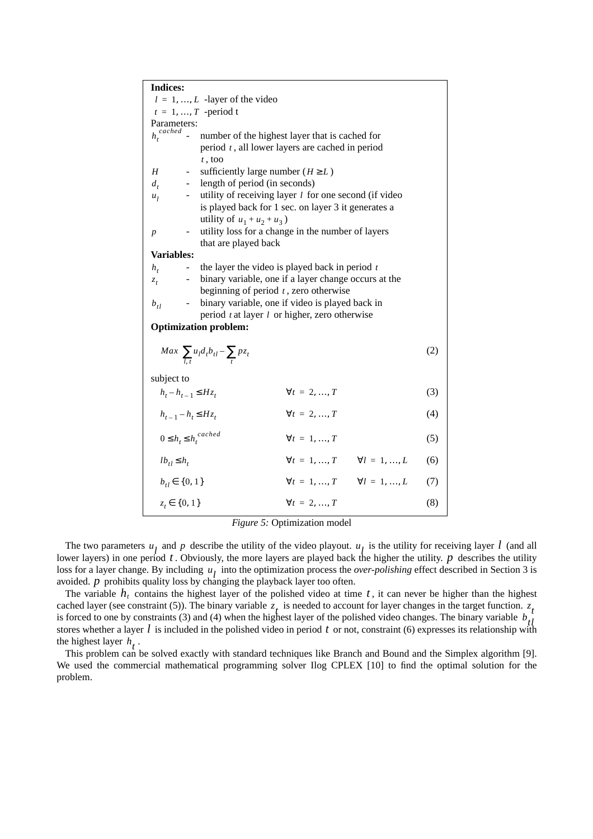| <b>Indices:</b>                 |                                                            |                                                           |  |     |  |  |  |
|---------------------------------|------------------------------------------------------------|-----------------------------------------------------------|--|-----|--|--|--|
|                                 | $l = 1, , L$ -layer of the video                           |                                                           |  |     |  |  |  |
|                                 | $t = 1, , T$ -period t                                     |                                                           |  |     |  |  |  |
| Parameters:                     |                                                            |                                                           |  |     |  |  |  |
| $h_t^{cached}$ -                | number of the highest layer that is cached for             |                                                           |  |     |  |  |  |
|                                 | period $t$ , all lower layers are cached in period         |                                                           |  |     |  |  |  |
|                                 | $t$ , too                                                  |                                                           |  |     |  |  |  |
| Н<br>$\sim 100$                 |                                                            | sufficiently large number ( $H \ge L$ )                   |  |     |  |  |  |
| $d_{t}$                         |                                                            | - length of period (in seconds)                           |  |     |  |  |  |
| $u_{I}$                         |                                                            | - utility of receiving layer $l$ for one second (if video |  |     |  |  |  |
|                                 | is played back for 1 sec. on layer 3 it generates a        |                                                           |  |     |  |  |  |
|                                 | utility of $u_1 + u_2 + u_3$ )                             |                                                           |  |     |  |  |  |
| $\boldsymbol{p}$                |                                                            | utility loss for a change in the number of layers         |  |     |  |  |  |
|                                 | that are played back                                       |                                                           |  |     |  |  |  |
| Variables:                      |                                                            |                                                           |  |     |  |  |  |
| $h_t$<br>$\sim$                 |                                                            | the layer the video is played back in period $t$          |  |     |  |  |  |
| $\sim$<br>$z_t$                 |                                                            | binary variable, one if a layer change occurs at the      |  |     |  |  |  |
|                                 | beginning of period $t$ , zero otherwise                   |                                                           |  |     |  |  |  |
| $b_{tl}$                        | binary variable, one if video is played back in            |                                                           |  |     |  |  |  |
|                                 | period $t$ at layer $l$ or higher, zero otherwise          |                                                           |  |     |  |  |  |
| <b>Optimization problem:</b>    |                                                            |                                                           |  |     |  |  |  |
|                                 |                                                            |                                                           |  |     |  |  |  |
|                                 | $Max\left(\sum_{l} u_l d_t b_{tl} - \sum_{t} p z_t\right)$ |                                                           |  | (2) |  |  |  |
|                                 |                                                            |                                                           |  |     |  |  |  |
| subject to                      |                                                            |                                                           |  |     |  |  |  |
| $h_{t} - h_{t-1} \leq Hz_{t}$   |                                                            | $\forall t = 2, , T$                                      |  | (3) |  |  |  |
| $h_{t-1} - h_t \leq Hz_t$       |                                                            | $\forall t = 2, , T$                                      |  | (4) |  |  |  |
|                                 |                                                            |                                                           |  |     |  |  |  |
| $0 \leq h_t \leq h_t^{~cached}$ |                                                            | $\forall t = 1, , T$                                      |  | (5) |  |  |  |
|                                 |                                                            |                                                           |  |     |  |  |  |
| $lb_{tl} \leq h_t$              |                                                            | $\forall t = 1, , T \qquad \forall l = 1, , L$            |  | (6) |  |  |  |
| $b_{t} \in \{0, 1\}$            |                                                            | $\forall t = 1, , T \qquad \forall l = 1, , L$            |  | (7) |  |  |  |
| $z_t \in \{0, 1\}$              |                                                            | $\forall t = 2, , T$                                      |  | (8) |  |  |  |
|                                 |                                                            |                                                           |  |     |  |  |  |

*Figure 5:* Optimization model

The two parameters  $u_l$  and p describe the utility of the video playout.  $u_l$  is the utility for receiving layer  $l$  (and all lower layers) in one period t. Obviously, the more layers are played back the higher the utility.  $p$  describes the utility loss for a layer change. By including  $u_l$  into the optimization process the *over-polishing* effect described in Section 3 is avoided.  $p$  prohibits quality loss by changing the playback layer too often.

The variable  $h_t$  contains the highest layer of the polished video at time  $t$ , it can never be higher than the highest cached layer (see constraint (5)). The binary variable  $z_t$  is needed to account for layer changes in the target function.  $z_t$ is forced to one by constraints (3) and (4) when the highest layer of the polished video changes. The binary variable  $b_{t}$ is forced to one by constraints (3) and (4) when the highest layer of the polished video changes. The binary variable  $b_{\hat{i}}$  *l* stores whether a layer *l* is included in the polished video in period *t* or not, constra the highest layer  $h_t$ .

This problem can be solved exactly with standard techniques like Branch and Bound and the Simplex algorithm [9]. We used the commercial mathematical programming solver Ilog CPLEX [10] to find the optimal solution for the problem.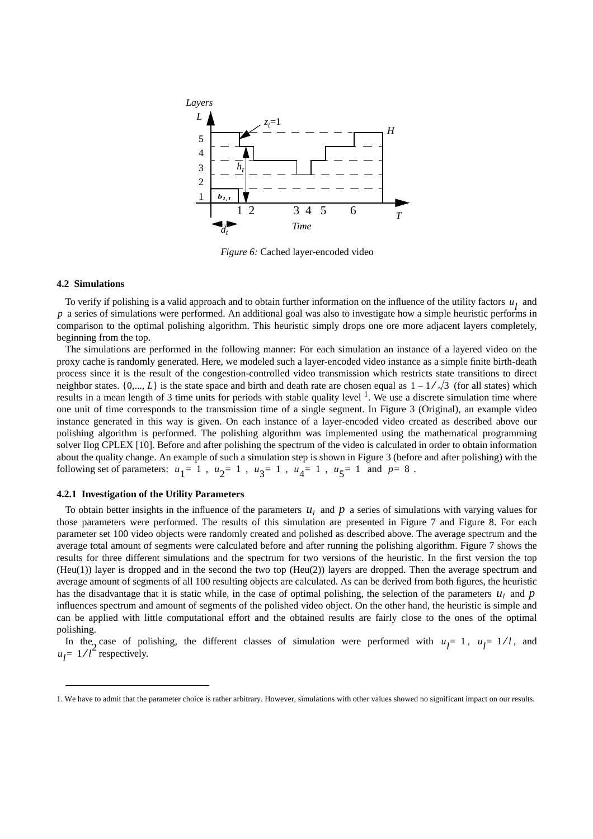

*Figure 6:* Cached layer-encoded video

# **4.2 Simulations**

To verify if polishing is a valid approach and to obtain further information on the influence of the utility factors  $u_l$  and a series of simulations were performed. An additional goal was also to investigate how a simple heuristic performs in *p* comparison to the optimal polishing algorithm. This heuristic simply drops one ore more adjacent layers completely, beginning from the top.

The simulations are performed in the following manner: For each simulation an instance of a layered video on the proxy cache is randomly generated. Here, we modeled such a layer-encoded video instance as a simple finite birth-death process since it is the result of the congestion-controlled video transmission which restricts state transitions to direct neighbor states.  $\{0,..., L\}$  is the state space and birth and death rate are chosen equal as  $1 - 1/\sqrt{3}$  (for all states) which results in a mean length of 3 time units for periods with stable quality level  $\frac{1}{1}$ . We use a discrete simulation time where one unit of time corresponds to the transmission time of a single segment. In Figure 3 (Original), an example video instance generated in this way is given. On each instance of a layer-encoded video created as described above our polishing algorithm is performed. The polishing algorithm was implemented using the mathematical programming solver Ilog CPLEX [10]. Before and after polishing the spectrum of the video is calculated in order to obtain information about the quality change. An example of such a simulation step is shown in Figure 3 (before and after polishing) with the following set of parameters:  $u_1 = 1$ ,  $u_2 = 1$ ,  $u_3 = 1$ ,  $u_4 = 1$ ,  $u_5 = 1$  and  $p = 8$ .

# **4.2.1 Investigation of the Utility Parameters**

To obtain better insights in the influence of the parameters  $u_l$  and  $p$  a series of simulations with varying values for those parameters were performed. The results of this simulation are presented in Figure 7 and Figure 8. For each parameter set 100 video objects were randomly created and polished as described above. The average spectrum and the average total amount of segments were calculated before and after running the polishing algorithm. Figure 7 shows the results for three different simulations and the spectrum for two versions of the heuristic. In the first version the top  $(Heu(1))$  layer is dropped and in the second the two top  $(Heu(2))$  layers are dropped. Then the average spectrum and average amount of segments of all 100 resulting objects are calculated. As can be derived from both figures, the heuristic has the disadvantage that it is static while, in the case of optimal polishing, the selection of the parameters  $u_l$  and  $p$ influences spectrum and amount of segments of the polished video object. On the other hand, the heuristic is simple and can be applied with little computational effort and the obtained results are fairly close to the ones of the optimal polishing.

In the<sub>2</sub> case of polishing, the different classes of simulation were performed with  $u_1 = 1$ ,  $u_1 = 1/l$ , and case of polishing, the different classes of simulation were performed with  $u_l = 1$ ,  $u_l = 1/l$  respectively.  $u_l = 1/l^2$ 

<sup>1.</sup> We have to admit that the parameter choice is rather arbitrary. However, simulations with other values showed no significant impact on our results.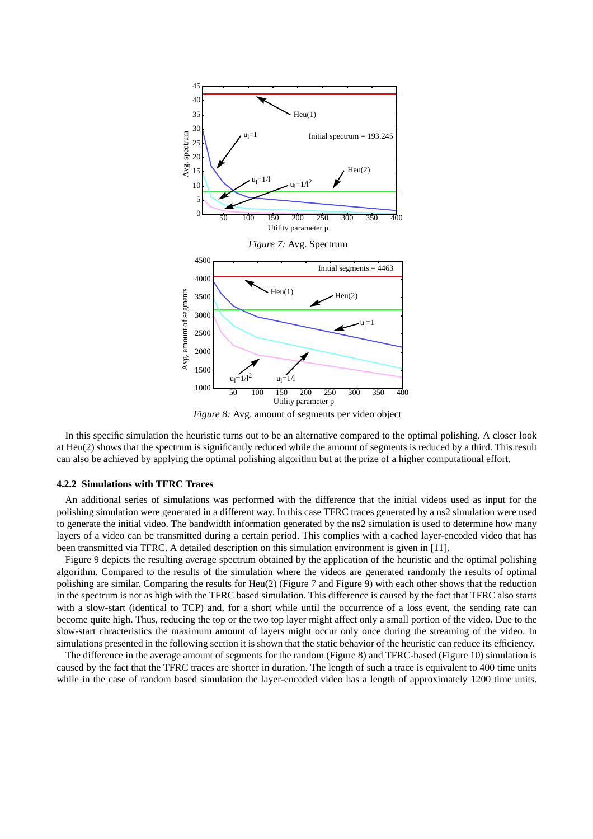

*Figure 8:* Avg. amount of segments per video object

In this specific simulation the heuristic turns out to be an alternative compared to the optimal polishing. A closer look at Heu(2) shows that the spectrum is significantly reduced while the amount of segments is reduced by a third. This result can also be achieved by applying the optimal polishing algorithm but at the prize of a higher computational effort.

# **4.2.2 Simulations with TFRC Traces**

An additional series of simulations was performed with the difference that the initial videos used as input for the polishing simulation were generated in a different way. In this case TFRC traces generated by a ns2 simulation were used to generate the initial video. The bandwidth information generated by the ns2 simulation is used to determine how many layers of a video can be transmitted during a certain period. This complies with a cached layer-encoded video that has been transmitted via TFRC. A detailed description on this simulation environment is given in [11].

Figure 9 depicts the resulting average spectrum obtained by the application of the heuristic and the optimal polishing algorithm. Compared to the results of the simulation where the videos are generated randomly the results of optimal polishing are similar. Comparing the results for Heu(2) (Figure 7 and Figure 9) with each other shows that the reduction in the spectrum is not as high with the TFRC based simulation. This difference is caused by the fact that TFRC also starts with a slow-start (identical to TCP) and, for a short while until the occurrence of a loss event, the sending rate can become quite high. Thus, reducing the top or the two top layer might affect only a small portion of the video. Due to the slow-start chracteristics the maximum amount of layers might occur only once during the streaming of the video. In simulations presented in the following section it is shown that the static behavior of the heuristic can reduce its efficiency.

The difference in the average amount of segments for the random (Figure 8) and TFRC-based (Figure 10) simulation is caused by the fact that the TFRC traces are shorter in duration. The length of such a trace is equivalent to 400 time units while in the case of random based simulation the layer-encoded video has a length of approximately 1200 time units.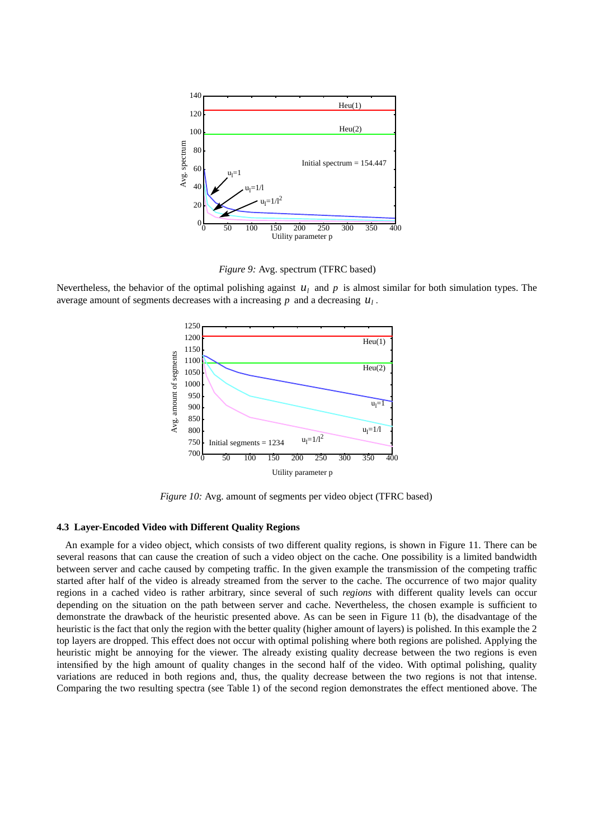

*Figure 9:* Avg. spectrum (TFRC based)

Nevertheless, the behavior of the optimal polishing against  $u_l$  and p is almost similar for both simulation types. The average amount of segments decreases with a increasing  $p$  and a decreasing  $u_l$ .



*Figure 10:* Avg. amount of segments per video object (TFRC based)

#### **4.3 Layer-Encoded Video with Different Quality Regions**

An example for a video object, which consists of two different quality regions, is shown in Figure 11. There can be several reasons that can cause the creation of such a video object on the cache. One possibility is a limited bandwidth between server and cache caused by competing traffic. In the given example the transmission of the competing traffic started after half of the video is already streamed from the server to the cache. The occurrence of two major quality regions in a cached video is rather arbitrary, since several of such *regions* with different quality levels can occur depending on the situation on the path between server and cache. Nevertheless, the chosen example is sufficient to demonstrate the drawback of the heuristic presented above. As can be seen in Figure 11 (b), the disadvantage of the heuristic is the fact that only the region with the better quality (higher amount of layers) is polished. In this example the 2 top layers are dropped. This effect does not occur with optimal polishing where both regions are polished. Applying the heuristic might be annoying for the viewer. The already existing quality decrease between the two regions is even intensified by the high amount of quality changes in the second half of the video. With optimal polishing, quality variations are reduced in both regions and, thus, the quality decrease between the two regions is not that intense. Comparing the two resulting spectra (see Table 1) of the second region demonstrates the effect mentioned above. The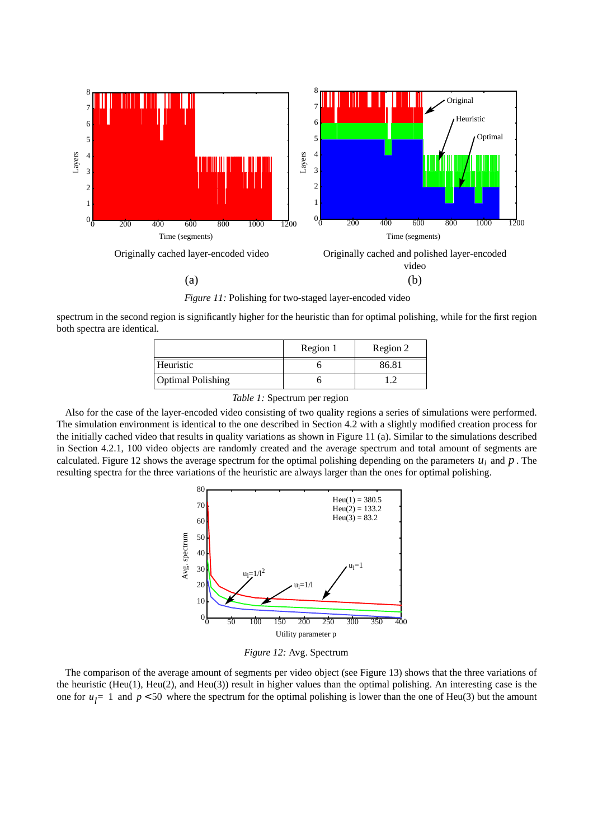

*Figure 11:* Polishing for two-staged layer-encoded video

spectrum in the second region is significantly higher for the heuristic than for optimal polishing, while for the first region both spectra are identical.

|                          | Region 1 | Region 2 |  |  |
|--------------------------|----------|----------|--|--|
| Heuristic                |          | 86.81    |  |  |
| <b>Optimal Polishing</b> |          |          |  |  |

*Table 1:* Spectrum per region

Also for the case of the layer-encoded video consisting of two quality regions a series of simulations were performed. The simulation environment is identical to the one described in Section 4.2 with a slightly modified creation process for the initially cached video that results in quality variations as shown in Figure 11 (a). Similar to the simulations described in Section 4.2.1, 100 video objects are randomly created and the average spectrum and total amount of segments are calculated. Figure 12 shows the average spectrum for the optimal polishing depending on the parameters  $u_l$  and  $p$ . The resulting spectra for the three variations of the heuristic are always larger than the ones for optimal polishing.



*Figure 12:* Avg. Spectrum

The comparison of the average amount of segments per video object (see Figure 13) shows that the three variations of the heuristic (Heu(1), Heu(2), and Heu(3)) result in higher values than the optimal polishing. An interesting case is the one for  $u_l = 1$  and  $p < 50$  where the spectrum for the optimal polishing is lower than the one of Heu(3) but the amount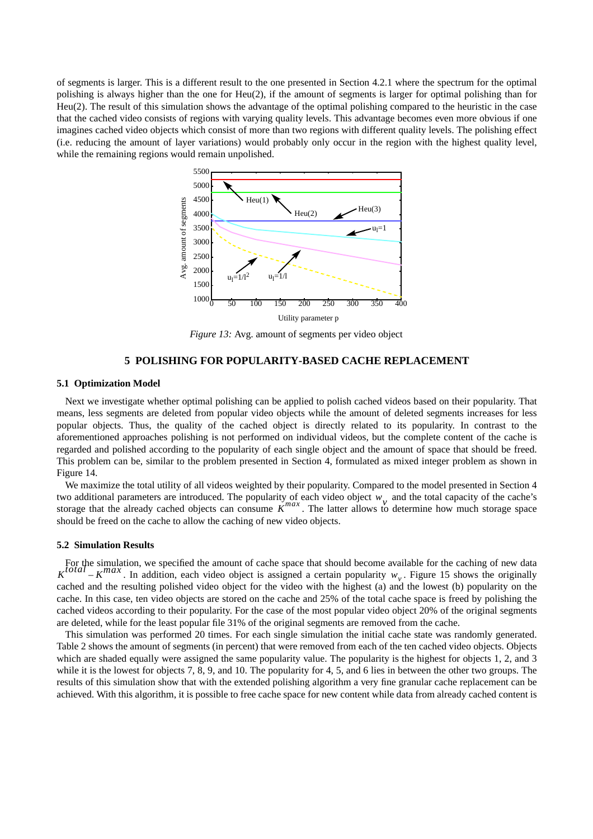of segments is larger. This is a different result to the one presented in Section 4.2.1 where the spectrum for the optimal polishing is always higher than the one for  $Heu(2)$ , if the amount of segments is larger for optimal polishing than for Heu(2). The result of this simulation shows the advantage of the optimal polishing compared to the heuristic in the case that the cached video consists of regions with varying quality levels. This advantage becomes even more obvious if one imagines cached video objects which consist of more than two regions with different quality levels. The polishing effect (i.e. reducing the amount of layer variations) would probably only occur in the region with the highest quality level, while the remaining regions would remain unpolished.



*Figure 13:* Avg. amount of segments per video object

# **5 POLISHING FOR POPULARITY-BASED CACHE REPLACEMENT**

#### **5.1 Optimization Model**

Next we investigate whether optimal polishing can be applied to polish cached videos based on their popularity. That means, less segments are deleted from popular video objects while the amount of deleted segments increases for less popular objects. Thus, the quality of the cached object is directly related to its popularity. In contrast to the aforementioned approaches polishing is not performed on individual videos, but the complete content of the cache is regarded and polished according to the popularity of each single object and the amount of space that should be freed. This problem can be, similar to the problem presented in Section 4, formulated as mixed integer problem as shown in Figure 14.

We maximize the total utility of all videos weighted by their popularity. Compared to the model presented in Section 4 two additional parameters are introduced. The popularity of each video object  $w<sub>1</sub>$ , and the total capacity of the cache's storage that the already cached objects can consume  $K^{max}$ . The latter allows to determine how much storage space should be freed on the cache to allow the caching of new video objects. *w k*<sup>*max*</sup>. The latter allows to

#### **5.2 Simulation Results**

For the simulation, we specified the amount of cache space that should become available for the caching of new data  $K^{total}$  –  $K^{max}$ . In addition, each video object is assigned a certain popularity  $w_v$ . Figure 15 shows the originally cached and the resulting polished video object for the video with the highest (a) and the lowest (b) popularity on the cache. In this case, ten video objects are stored on the cache and 25% of the total cache space is freed by polishing the cached videos according to their popularity. For the case of the most popular video object 20% of the original segments are deleted, while for the least popular file 31% of the original segments are removed from the cache.

This simulation was performed 20 times. For each single simulation the initial cache state was randomly generated. Table 2 shows the amount of segments (in percent) that were removed from each of the ten cached video objects. Objects which are shaded equally were assigned the same popularity value. The popularity is the highest for objects 1, 2, and 3 while it is the lowest for objects 7, 8, 9, and 10. The popularity for 4, 5, and 6 lies in between the other two groups. The results of this simulation show that with the extended polishing algorithm a very fine granular cache replacement can be achieved. With this algorithm, it is possible to free cache space for new content while data from already cached content is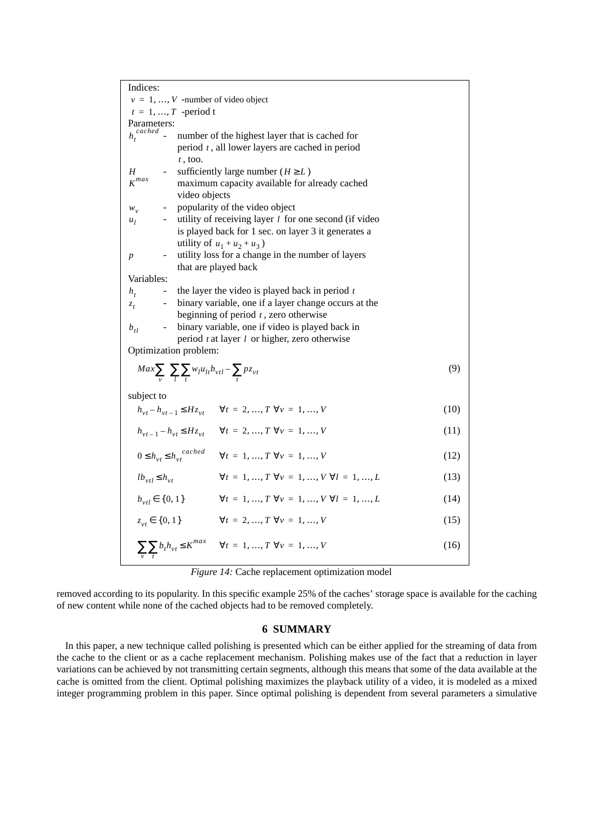| Indices:                                                                                                                |                                                                                           |      |  |  |  |  |  |
|-------------------------------------------------------------------------------------------------------------------------|-------------------------------------------------------------------------------------------|------|--|--|--|--|--|
| $v = 1, , V$ -number of video object                                                                                    |                                                                                           |      |  |  |  |  |  |
| $t = 1, , T$ -period t                                                                                                  |                                                                                           |      |  |  |  |  |  |
| Parameters:<br>$h_t^{cached}$ -                                                                                         |                                                                                           |      |  |  |  |  |  |
|                                                                                                                         | number of the highest layer that is cached for                                            |      |  |  |  |  |  |
|                                                                                                                         | period $t$ , all lower layers are cached in period                                        |      |  |  |  |  |  |
| $t$ , too.                                                                                                              |                                                                                           |      |  |  |  |  |  |
| $H_{\rm}$<br>$K^{max}$                                                                                                  | sufficiently large number ( $H \ge L$ )                                                   |      |  |  |  |  |  |
| video objects                                                                                                           | maximum capacity available for already cached                                             |      |  |  |  |  |  |
|                                                                                                                         | popularity of the video object                                                            |      |  |  |  |  |  |
| $W_{\nu}$                                                                                                               |                                                                                           |      |  |  |  |  |  |
| utility of receiving layer $l$ for one second (if video<br>$u_l$<br>is played back for 1 sec. on layer 3 it generates a |                                                                                           |      |  |  |  |  |  |
| utility of $u_1 + u_2 + u_3$ )                                                                                          |                                                                                           |      |  |  |  |  |  |
| $\boldsymbol{p}$                                                                                                        | utility loss for a change in the number of layers                                         |      |  |  |  |  |  |
|                                                                                                                         | that are played back                                                                      |      |  |  |  |  |  |
| Variables:                                                                                                              |                                                                                           |      |  |  |  |  |  |
| $h_t$                                                                                                                   | the layer the video is played back in period $t$                                          |      |  |  |  |  |  |
| $z_t$                                                                                                                   | binary variable, one if a layer change occurs at the                                      |      |  |  |  |  |  |
|                                                                                                                         | beginning of period $t$ , zero otherwise                                                  |      |  |  |  |  |  |
| $b_{t}$                                                                                                                 | binary variable, one if video is played back in                                           |      |  |  |  |  |  |
| period $t$ at layer $l$ or higher, zero otherwise                                                                       |                                                                                           |      |  |  |  |  |  |
| Optimization problem:                                                                                                   |                                                                                           |      |  |  |  |  |  |
| $Max \sum_{u} \left( \sum_{l} \sum_{v} w_{l} u_{lt} b_{vtl} - \sum_{v} p z_{vt} \right)$<br>(9)                         |                                                                                           |      |  |  |  |  |  |
|                                                                                                                         |                                                                                           |      |  |  |  |  |  |
| subject to                                                                                                              |                                                                                           |      |  |  |  |  |  |
|                                                                                                                         | $h_{vt} - h_{vt-1} \leq Hz_{vt}$ $\forall t = 2, , T \forall v = 1, , V$                  | (10) |  |  |  |  |  |
|                                                                                                                         |                                                                                           |      |  |  |  |  |  |
|                                                                                                                         | $h_{vt-1} - h_{vt} \leq Hz_{vt}$ $\forall t = 2, , T \forall v = 1, , V$                  | (11) |  |  |  |  |  |
|                                                                                                                         |                                                                                           |      |  |  |  |  |  |
| $0 \leq h_{vt} \leq h_{vt}^{~cached}$                                                                                   | $\forall t = 1, , T \forall v = 1, , V$                                                   | (12) |  |  |  |  |  |
|                                                                                                                         |                                                                                           |      |  |  |  |  |  |
| $lb_{vt} \leq h_{vt}$                                                                                                   | $\forall t = 1, , T \forall v = 1, , V \forall l = 1, , L$                                | (13) |  |  |  |  |  |
| $b_{vtl} \in \{0, 1\}$                                                                                                  | $\forall t = 1, , T \forall v = 1, , V \forall l = 1, , L$                                | (14) |  |  |  |  |  |
|                                                                                                                         |                                                                                           |      |  |  |  |  |  |
| $z_{v,t} \in \{0, 1\}$                                                                                                  | $\forall t = 2, , T \forall v = 1, , V$                                                   | (15) |  |  |  |  |  |
|                                                                                                                         |                                                                                           |      |  |  |  |  |  |
|                                                                                                                         | $\sum_{v} \sum_{t} b_{t} h_{vt} \leq K^{max} \quad \forall t = 1, , T \forall v = 1, , V$ | (16) |  |  |  |  |  |
|                                                                                                                         |                                                                                           |      |  |  |  |  |  |

*Figure 14:* Cache replacement optimization model

removed according to its popularity. In this specific example 25% of the caches' storage space is available for the caching of new content while none of the cached objects had to be removed completely.

# **6 SUMMARY**

In this paper, a new technique called polishing is presented which can be either applied for the streaming of data from the cache to the client or as a cache replacement mechanism. Polishing makes use of the fact that a reduction in layer variations can be achieved by not transmitting certain segments, although this means that some of the data available at the cache is omitted from the client. Optimal polishing maximizes the playback utility of a video, it is modeled as a mixed integer programming problem in this paper. Since optimal polishing is dependent from several parameters a simulative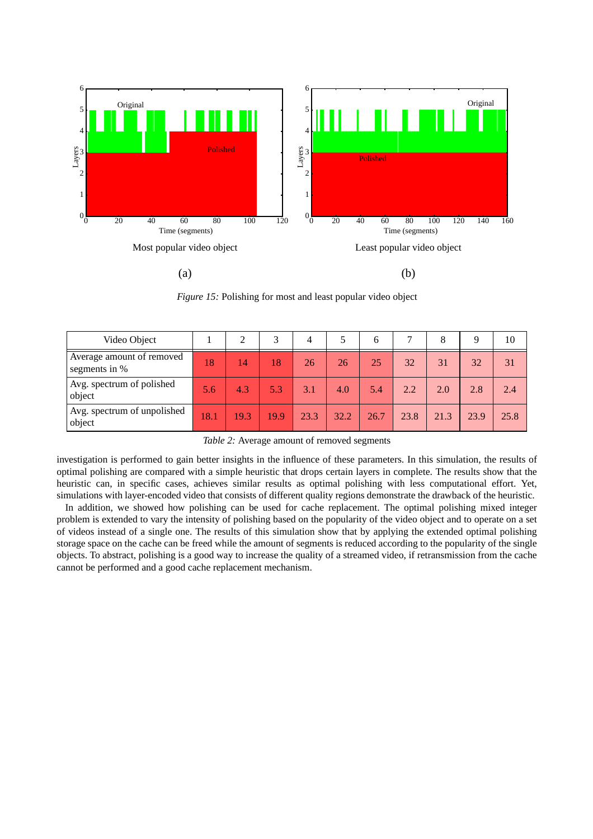

*Figure 15:* Polishing for most and least popular video object

| Video Object                               |      | ◠    | 3    | 4    |      | 6    |      | 8    | q    | 10   |
|--------------------------------------------|------|------|------|------|------|------|------|------|------|------|
| Average amount of removed<br>segments in % | 18   | 14   | 18   | 26   | 26   | 25   | 32   | 31   | 32   | 31   |
| Avg. spectrum of polished<br>object        | 5.6  | 4.3  | 5.3  | 3.1  | 4.0  | 5.4  | 2.2  | 2.0  | 2.8  | 2.4  |
| Avg. spectrum of unpolished<br>object      | 18.1 | 19.3 | 19.9 | 23.3 | 32.2 | 26.7 | 23.8 | 21.3 | 23.9 | 25.8 |

*Table 2:* Average amount of removed segments

investigation is performed to gain better insights in the influence of these parameters. In this simulation, the results of optimal polishing are compared with a simple heuristic that drops certain layers in complete. The results show that the heuristic can, in specific cases, achieves similar results as optimal polishing with less computational effort. Yet, simulations with layer-encoded video that consists of different quality regions demonstrate the drawback of the heuristic.

In addition, we showed how polishing can be used for cache replacement. The optimal polishing mixed integer problem is extended to vary the intensity of polishing based on the popularity of the video object and to operate on a set of videos instead of a single one. The results of this simulation show that by applying the extended optimal polishing storage space on the cache can be freed while the amount of segments is reduced according to the popularity of the single objects. To abstract, polishing is a good way to increase the quality of a streamed video, if retransmission from the cache cannot be performed and a good cache replacement mechanism.